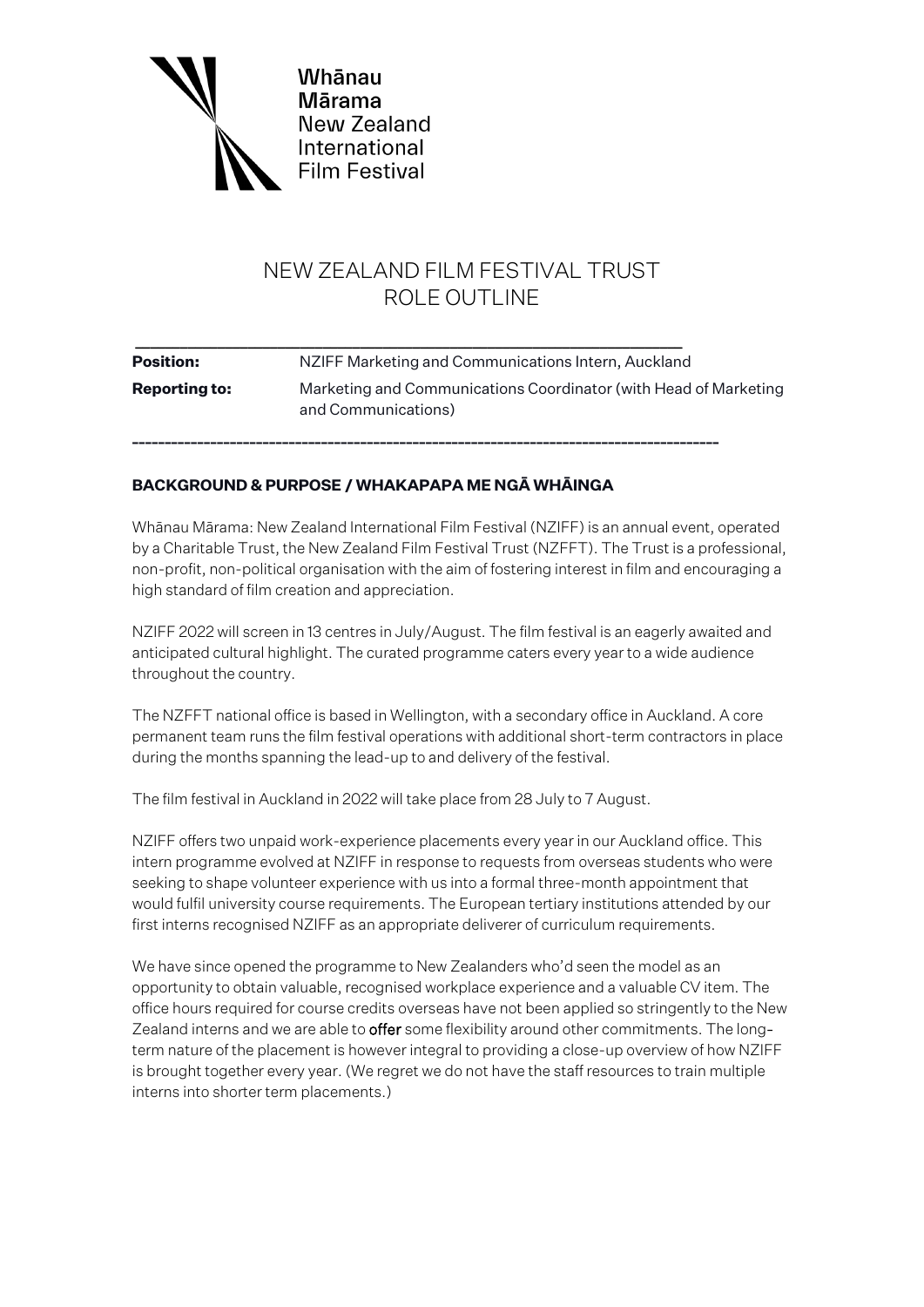

# NEW ZEALAND FILM FESTIVAL TRUST ROLE OUTLINE

| <b>Position:</b>     | NZIFF Marketing and Communications Intern, Auckland                                     |
|----------------------|-----------------------------------------------------------------------------------------|
| <b>Reporting to:</b> | Marketing and Communications Coordinator (with Head of Marketing<br>and Communications) |

# **BACKGROUND & PURPOSE / WHAKAPAPA ME NGĀ WHĀINGA**

Whānau Mārama: New Zealand International Film Festival (NZIFF) is an annual event, operated by a Charitable Trust, the New Zealand Film Festival Trust (NZFFT). The Trust is a professional, non-profit, non-political organisation with the aim of fostering interest in film and encouraging a high standard of film creation and appreciation.

NZIFF 2022 will screen in 13 centres in July/August. The film festival is an eagerly awaited and anticipated cultural highlight. The curated programme caters every year to a wide audience throughout the country.

The NZFFT national office is based in Wellington, with a secondary office in Auckland. A core permanent team runs the film festival operations with additional short-term contractors in place during the months spanning the lead-up to and delivery of the festival.

The film festival in Auckland in 2022 will take place from 28 July to 7 August.

NZIFF offers two unpaid work-experience placements every year in our Auckland office. This intern programme evolved at NZIFF in response to requests from overseas students who were seeking to shape volunteer experience with us into a formal three-month appointment that would fulfil university course requirements. The European tertiary institutions attended by our first interns recognised NZIFF as an appropriate deliverer of curriculum requirements.

We have since opened the programme to New Zealanders who'd seen the model as an opportunity to obtain valuable, recognised workplace experience and a valuable CV item. The office hours required for course credits overseas have not been applied so stringently to the New Zealand interns and we are able to offer some flexibility around other commitments. The longterm nature of the placement is however integral to providing a close-up overview of how NZIFF is brought together every year. (We regret we do not have the staff resources to train multiple interns into shorter term placements.)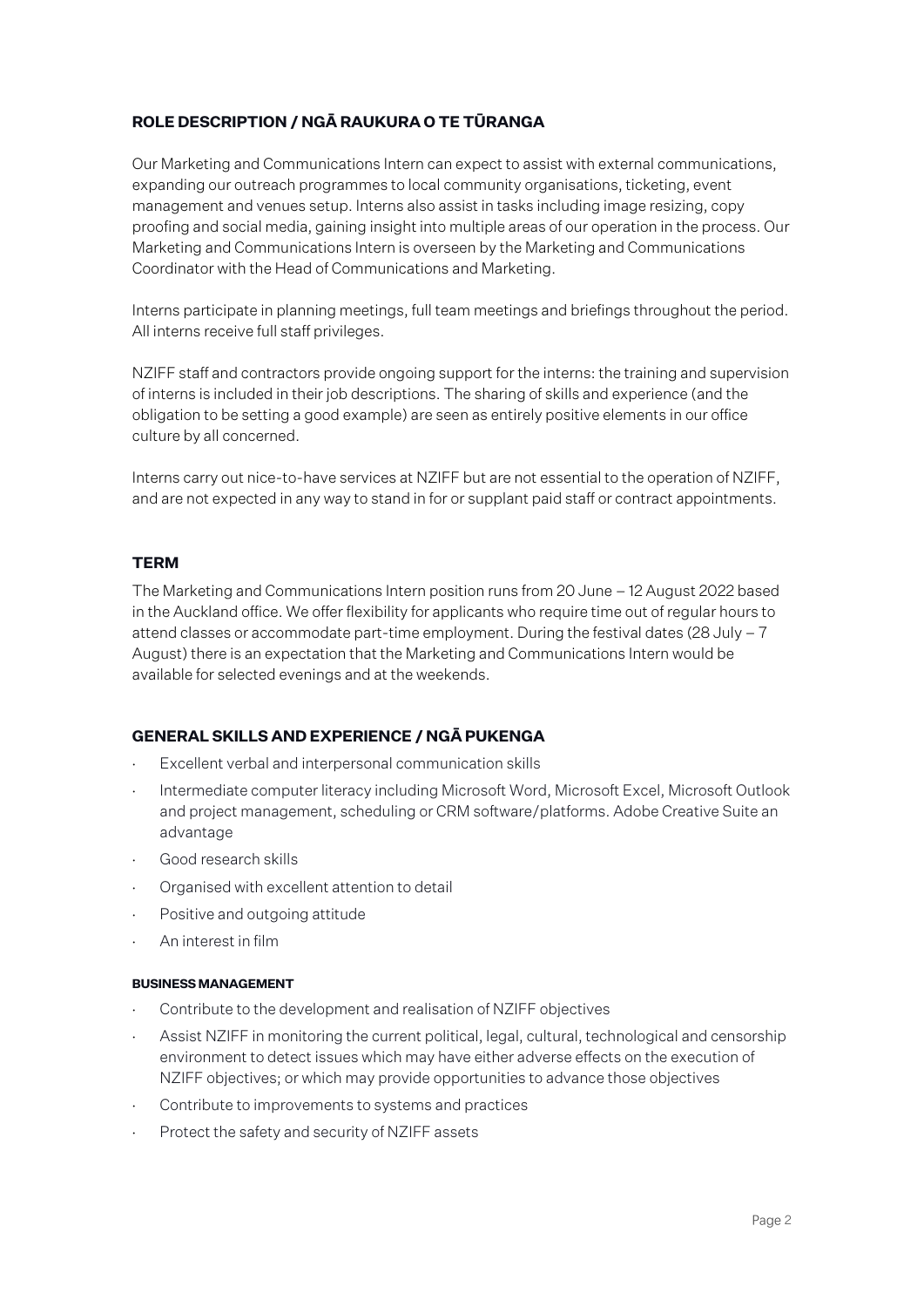# **ROLE DESCRIPTION / NGĀ RAUKURA O TE TŪRANGA**

Our Marketing and Communications Intern can expect to assist with external communications, expanding our outreach programmes to local community organisations, ticketing, event management and venues setup. Interns also assist in tasks including image resizing, copy proofing and social media, gaining insight into multiple areas of our operation in the process. Our Marketing and Communications Intern is overseen by the Marketing and Communications Coordinator with the Head of Communications and Marketing.

Interns participate in planning meetings, full team meetings and briefings throughout the period. All interns receive full staff privileges.

NZIFF staff and contractors provide ongoing support for the interns: the training and supervision of interns is included in their job descriptions. The sharing of skills and experience (and the obligation to be setting a good example) are seen as entirely positive elements in our office culture by all concerned.

Interns carry out nice-to-have services at NZIFF but are not essential to the operation of NZIFF, and are not expected in any way to stand in for or supplant paid staff or contract appointments.

### **TERM**

The Marketing and Communications Intern position runs from 20 June – 12 August 2022 based in the Auckland office. We offer flexibility for applicants who require time out of regular hours to attend classes or accommodate part-time employment. During the festival dates (28 July – 7 August) there is an expectation that the Marketing and Communications Intern would be available for selected evenings and at the weekends.

## **GENERAL SKILLS AND EXPERIENCE / NGĀ PUKENGA**

- Excellent verbal and interpersonal communication skills
- Intermediate computer literacy including Microsoft Word, Microsoft Excel, Microsoft Outlook and project management, scheduling or CRM software/platforms. Adobe Creative Suite an advantage
- ⋅ Good research skills
- Organised with excellent attention to detail
- Positive and outgoing attitude
- ⋅ An interest in film

#### **BUSINESS MANAGEMENT**

- Contribute to the development and realisation of NZIFF objectives
- Assist NZIFF in monitoring the current political, legal, cultural, technological and censorship environment to detect issues which may have either adverse effects on the execution of NZIFF objectives; or which may provide opportunities to advance those objectives
- Contribute to improvements to systems and practices
- Protect the safety and security of NZIFF assets